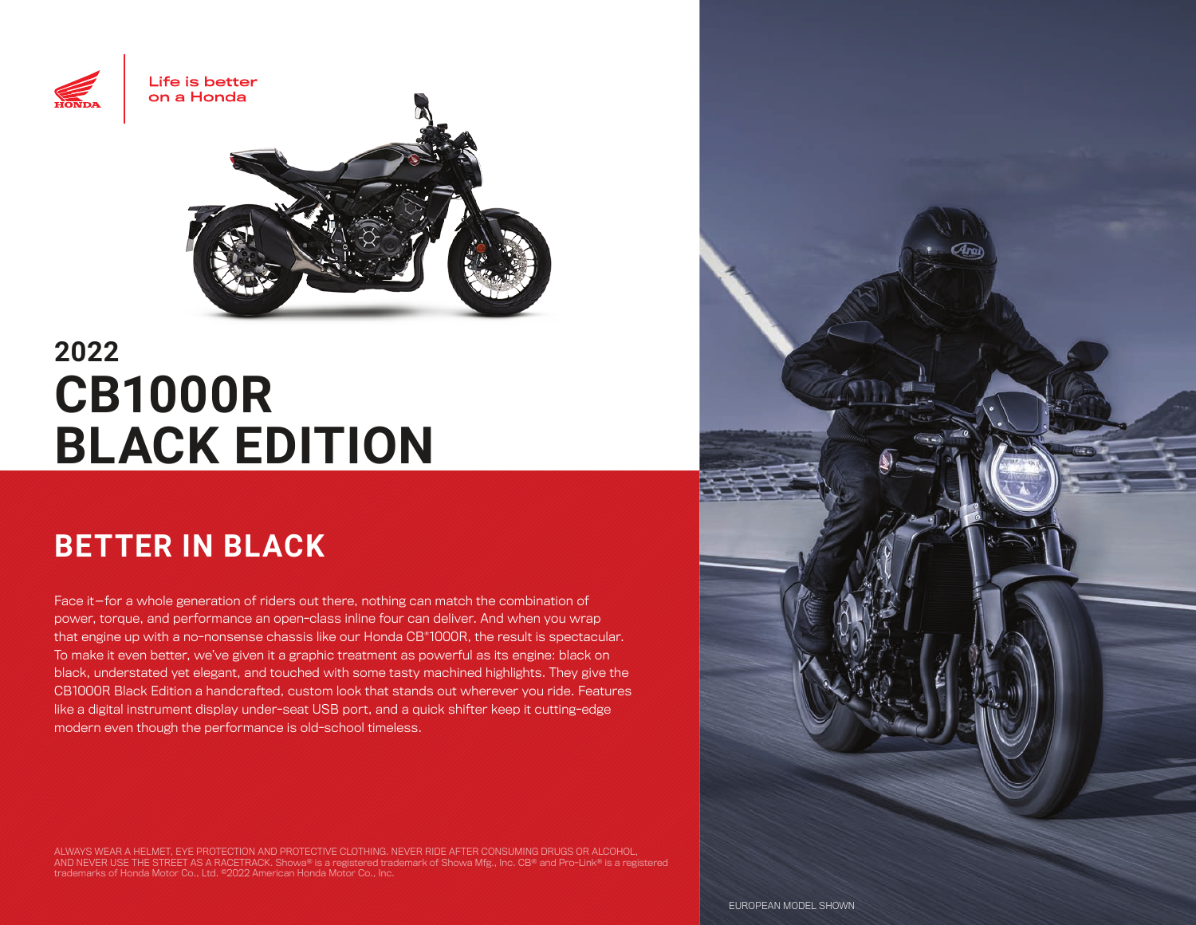

# **2022 CB1000R BLACK EDITION**

## **BETTER IN BLACK**

Face it—for a whole generation of riders out there, nothing can match the combination of power, torque, and performance an open-class inline four can deliver. And when you wrap that engine up with a no-nonsense chassis like our Honda CB®1000R, the result is spectacular. To make it even better, we've given it a graphic treatment as powerful as its engine: black on black, understated yet elegant, and touched with some tasty machined highlights. They give the CB1000R Black Edition a handcrafted, custom look that stands out wherever you ride. Features like a digital instrument display under-seat USB port, and a quick shifter keep it cutting-edge modern even though the performance is old-school timeless.

ALWAYS WEAR A HELMET, EYE PROTECTION AND PROTECTIVE CLOTHING. NEVER RIDE AFTER CONSUMING DRUGS OR ALCOHOL,<br>AND NEVER USE THE STREET AS A RACETRACK. Showa® is a registered trademark of Showa Mfg., Inc. CB® and Pro-Link® is